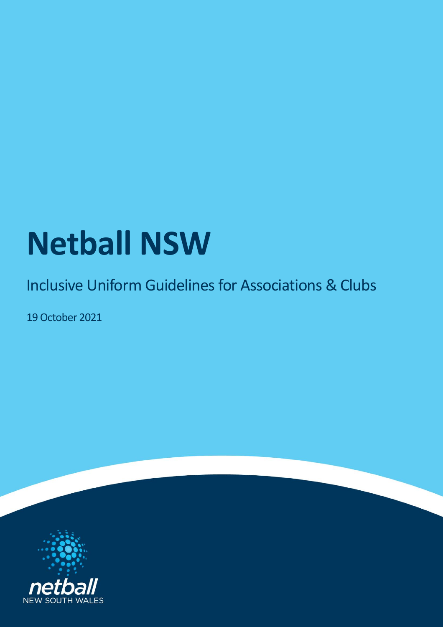# **Netball NSW**

## Inclusive Uniform Guidelines for Associations & Clubs

19 October 2021

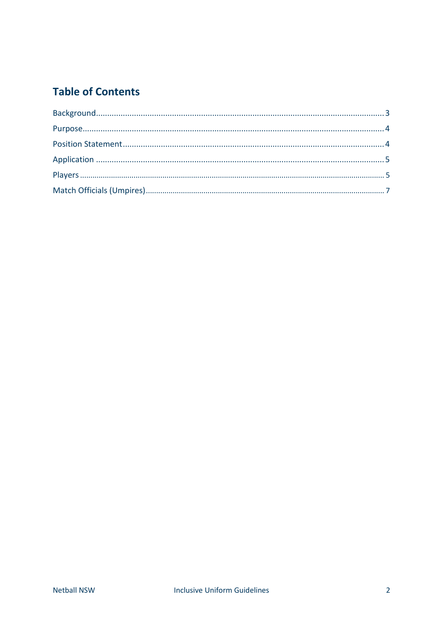## **Table of Contents**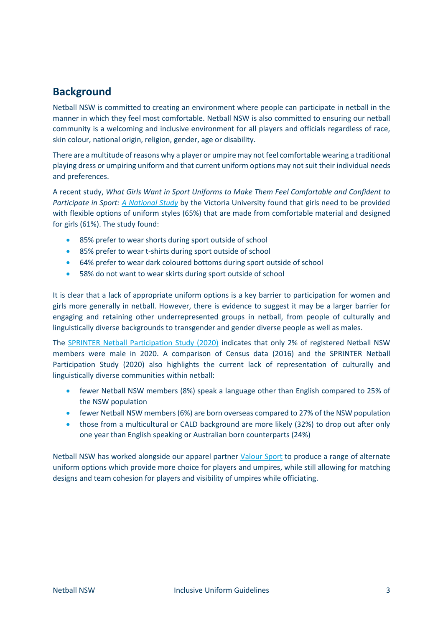## <span id="page-2-0"></span>**Background**

Netball NSW is committed to creating an environment where people can participate in netball in the manner in which they feel most comfortable. Netball NSW is also committed to ensuring our netball community is a welcoming and inclusive environment for all players and officials regardless of race, skin colour, national origin, religion, gender, age or disability.

There are a multitude of reasons why a player or umpire may not feel comfortable wearing a traditional playing dress or umpiring uniform and that current uniform options may not suit their individual needs and preferences.

A recent study, *What Girls Want in Sport Uniforms to Make Them Feel Comfortable and Confident to Participate in Sport: [A National Study](https://www.vu.edu.au/sites/default/files/girl-sport-uniforms-national-study.pdf)* by the Victoria University found that girls need to be provided with flexible options of uniform styles (65%) that are made from comfortable material and designed for girls (61%). The study found:

- 85% prefer to wear shorts during sport outside of school
- 85% prefer to wear t-shirts during sport outside of school
- 64% prefer to wear dark coloured bottoms during sport outside of school
- 58% do not want to wear skirts during sport outside of school

It is clear that a lack of appropriate uniform options is a key barrier to participation for women and girls more generally in netball. However, there is evidence to suggest it may be a larger barrier for engaging and retaining other underrepresented groups in netball, from people of culturally and linguistically diverse backgrounds to transgender and gender diverse people as well as males.

The [SPRINTER Netball Participation Study \(2020\)](https://nsw.netball.com.au/netball-participation-study) indicates that only 2% of registered Netball NSW members were male in 2020. A comparison of Census data (2016) and the SPRINTER Netball Participation Study (2020) also highlights the current lack of representation of culturally and linguistically diverse communities within netball:

- fewer Netball NSW members (8%) speak a language other than English compared to 25% of the NSW population
- fewer Netball NSW members (6%) are born overseas compared to 27% of the NSW population
- those from a multicultural or CALD background are more likely (32%) to drop out after only one year than English speaking or Australian born counterparts (24%)

<span id="page-2-1"></span>Netball NSW has worked alongside our apparel partner [Valour Sport](https://www.valoursport.com.au/pages/oneteam) to produce a range of alternate uniform options which provide more choice for players and umpires, while still allowing for matching designs and team cohesion for players and visibility of umpires while officiating.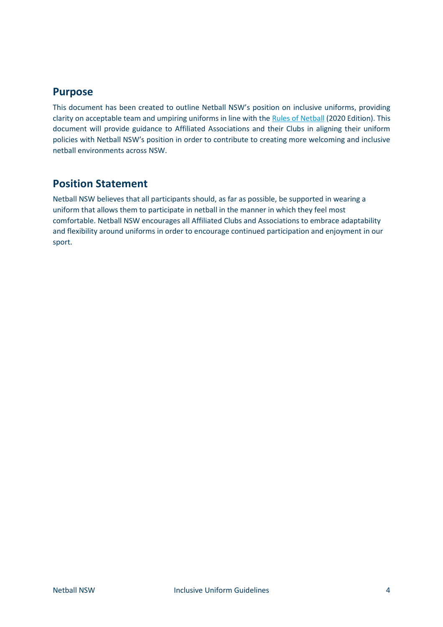#### **Purpose**

This document has been created to outline Netball NSW's position on inclusive uniforms, providing clarity on acceptable team and umpiring uniforms in line with the [Rules of Netball](https://netball.com.au/sites/default/files/2020-01/INF_NETBALL%20RULE%20BOOK%20MANUAL%202020.pdf) (2020 Edition). This document will provide guidance to Affiliated Associations and their Clubs in aligning their uniform policies with Netball NSW's position in order to contribute to creating more welcoming and inclusive netball environments across NSW.

### <span id="page-3-0"></span>**Position Statement**

<span id="page-3-1"></span>Netball NSW believes that all participants should, as far as possible, be supported in wearing a uniform that allows them to participate in netball in the manner in which they feel most comfortable. Netball NSW encourages all Affiliated Clubs and Associations to embrace adaptability and flexibility around uniforms in order to encourage continued participation and enjoyment in our sport.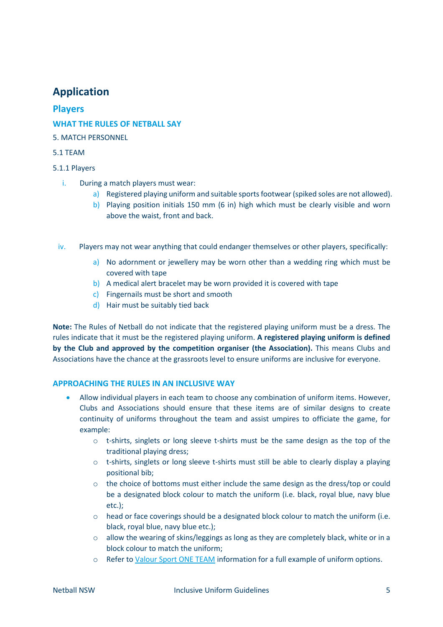## **Application**

#### <span id="page-4-0"></span>**Players**

#### **WHAT THE RULES OF NETBALL SAY**

#### 5. MATCH PERSONNEL

#### 5.1 TEAM

#### 5.1.1 Players

- i. During a match players must wear:
	- a) Registered playing uniform and suitable sports footwear (spiked soles are not allowed).
	- b) Playing position initials 150 mm (6 in) high which must be clearly visible and worn above the waist, front and back.
- iv. Players may not wear anything that could endanger themselves or other players, specifically:
	- a) No adornment or jewellery may be worn other than a wedding ring which must be covered with tape
	- b) A medical alert bracelet may be worn provided it is covered with tape
	- c) Fingernails must be short and smooth
	- d) Hair must be suitably tied back

**Note:** The Rules of Netball do not indicate that the registered playing uniform must be a dress. The rules indicate that it must be the registered playing uniform. **A registered playing uniform is defined by the Club and approved by the competition organiser (the Association).** This means Clubs and Associations have the chance at the grassroots level to ensure uniforms are inclusive for everyone.

#### **APPROACHING THE RULES IN AN INCLUSIVE WAY**

- Allow individual players in each team to choose any combination of uniform items. However, Clubs and Associations should ensure that these items are of similar designs to create continuity of uniforms throughout the team and assist umpires to officiate the game, for example:
	- $\circ$  t-shirts, singlets or long sleeve t-shirts must be the same design as the top of the traditional playing dress;
	- $\circ$  t-shirts, singlets or long sleeve t-shirts must still be able to clearly display a playing positional bib;
	- $\circ$  the choice of bottoms must either include the same design as the dress/top or could be a designated block colour to match the uniform (i.e. black, royal blue, navy blue etc.);
	- $\circ$  head or face coverings should be a designated block colour to match the uniform (i.e. black, royal blue, navy blue etc.);
	- $\circ$  allow the wearing of skins/leggings as long as they are completely black, white or in a block colour to match the uniform;
	- o Refer t[o Valour Sport ONE TEAM](https://www.valoursport.com.au/pages/oneteam) information for a full example of uniform options.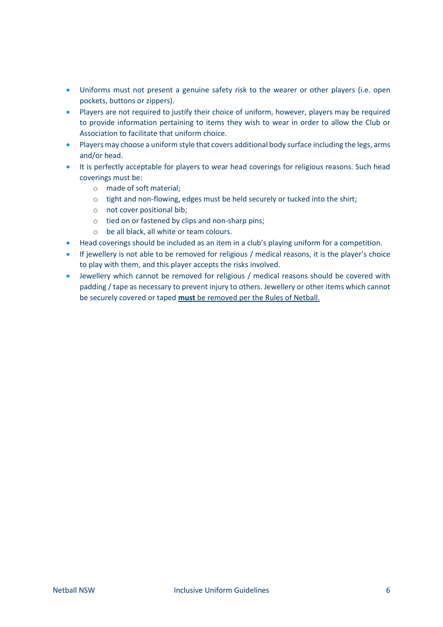- Uniforms must not present a genuine safety risk to the wearer or other players (i.e. open pockets, buttons or zippers).
- Players are not required to justify their choice of uniform, however, players may be required to provide information pertaining to items they wish to wear in order to allow the Club or Association to facilitate that uniform choice.
- Players may choose a uniform style that covers additional body surface including the legs, arms and/or head.
- It is perfectly acceptable for players to wear head coverings for religious reasons. Such head coverings must be:
	- o made of soft material;
	- o tight and non-flowing, edges must be held securely or tucked into the shirt;
	- o not cover positional bib;
	- o tied on or fastened by clips and non-sharp pins;
	- o be all black, all white or team colours.
- Head coverings should be included as an item in a club's playing uniform for a competition.
- If jewellery is not able to be removed for religious / medical reasons, it is the player's choice to play with them, and this player accepts the risks involved.
- <span id="page-5-0"></span> Jewellery which cannot be removed for religious / medical reasons should be covered with padding / tape as necessary to prevent injury to others. Jewellery or other items which cannot be securely covered or taped **must** be removed per the Rules of Netball.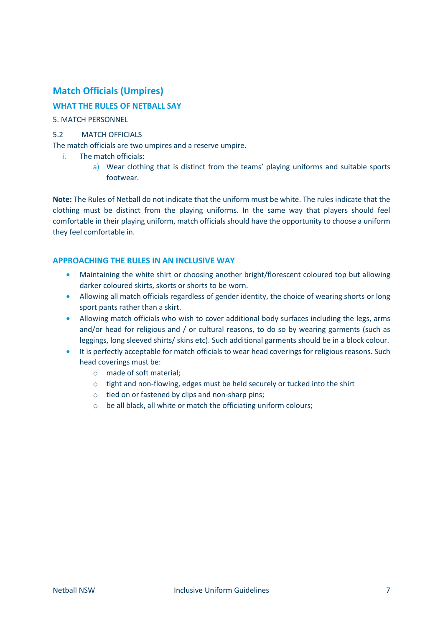#### **Match Officials (Umpires)**

#### **WHAT THE RULES OF NETBALL SAY**

#### 5. MATCH PERSONNEL

#### 5.2 MATCH OFFICIALS

The match officials are two umpires and a reserve umpire.

- i. The match officials:
	- a) Wear clothing that is distinct from the teams' playing uniforms and suitable sports footwear.

**Note:** The Rules of Netball do not indicate that the uniform must be white. The rules indicate that the clothing must be distinct from the playing uniforms. In the same way that players should feel comfortable in their playing uniform, match officials should have the opportunity to choose a uniform they feel comfortable in.

#### **APPROACHING THE RULES IN AN INCLUSIVE WAY**

- Maintaining the white shirt or choosing another bright/florescent coloured top but allowing darker coloured skirts, skorts or shorts to be worn.
- Allowing all match officials regardless of gender identity, the choice of wearing shorts or long sport pants rather than a skirt.
- Allowing match officials who wish to cover additional body surfaces including the legs, arms and/or head for religious and / or cultural reasons, to do so by wearing garments (such as leggings, long sleeved shirts/ skins etc). Such additional garments should be in a block colour.
- It is perfectly acceptable for match officials to wear head coverings for religious reasons. Such head coverings must be:
	- o made of soft material;
	- o tight and non-flowing, edges must be held securely or tucked into the shirt
	- o tied on or fastened by clips and non-sharp pins;
	- o be all black, all white or match the officiating uniform colours;